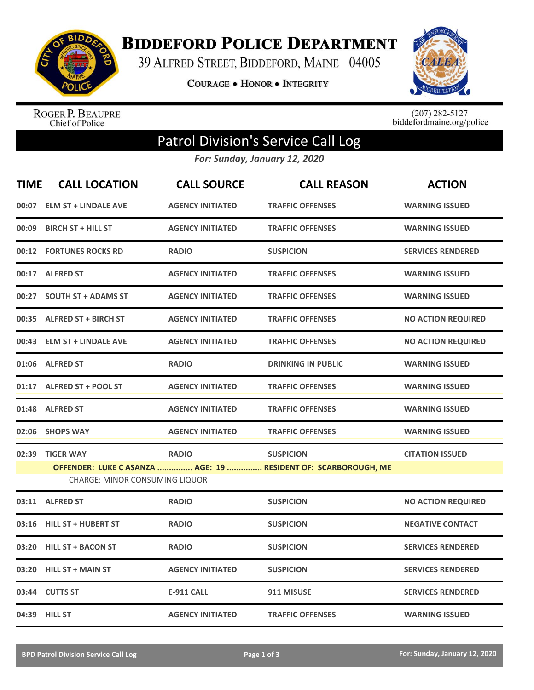

**BIDDEFORD POLICE DEPARTMENT** 

39 ALFRED STREET, BIDDEFORD, MAINE 04005

**COURAGE . HONOR . INTEGRITY** 



ROGER P. BEAUPRE<br>Chief of Police

 $(207)$  282-5127<br>biddefordmaine.org/police

## Patrol Division's Service Call Log

*For: Sunday, January 12, 2020*

| <b>TIME</b>                                                                                            | <b>CALL LOCATION</b>        | <b>CALL SOURCE</b>      | <b>CALL REASON</b>        | <b>ACTION</b>             |  |  |
|--------------------------------------------------------------------------------------------------------|-----------------------------|-------------------------|---------------------------|---------------------------|--|--|
| 00:07                                                                                                  | <b>ELM ST + LINDALE AVE</b> | <b>AGENCY INITIATED</b> | <b>TRAFFIC OFFENSES</b>   | <b>WARNING ISSUED</b>     |  |  |
| 00:09                                                                                                  | <b>BIRCH ST + HILL ST</b>   | <b>AGENCY INITIATED</b> | <b>TRAFFIC OFFENSES</b>   | <b>WARNING ISSUED</b>     |  |  |
|                                                                                                        | 00:12 FORTUNES ROCKS RD     | <b>RADIO</b>            | <b>SUSPICION</b>          | <b>SERVICES RENDERED</b>  |  |  |
|                                                                                                        | 00:17 ALFRED ST             | <b>AGENCY INITIATED</b> | <b>TRAFFIC OFFENSES</b>   | <b>WARNING ISSUED</b>     |  |  |
| 00:27                                                                                                  | <b>SOUTH ST + ADAMS ST</b>  | <b>AGENCY INITIATED</b> | <b>TRAFFIC OFFENSES</b>   | <b>WARNING ISSUED</b>     |  |  |
|                                                                                                        | 00:35 ALFRED ST + BIRCH ST  | <b>AGENCY INITIATED</b> | <b>TRAFFIC OFFENSES</b>   | <b>NO ACTION REQUIRED</b> |  |  |
|                                                                                                        | 00:43 ELM ST + LINDALE AVE  | <b>AGENCY INITIATED</b> | <b>TRAFFIC OFFENSES</b>   | <b>NO ACTION REQUIRED</b> |  |  |
|                                                                                                        | 01:06 ALFRED ST             | <b>RADIO</b>            | <b>DRINKING IN PUBLIC</b> | <b>WARNING ISSUED</b>     |  |  |
|                                                                                                        | 01:17 ALFRED ST + POOL ST   | <b>AGENCY INITIATED</b> | <b>TRAFFIC OFFENSES</b>   | <b>WARNING ISSUED</b>     |  |  |
|                                                                                                        | 01:48 ALFRED ST             | <b>AGENCY INITIATED</b> | <b>TRAFFIC OFFENSES</b>   | <b>WARNING ISSUED</b>     |  |  |
| 02:06                                                                                                  | <b>SHOPS WAY</b>            | <b>AGENCY INITIATED</b> | <b>TRAFFIC OFFENSES</b>   | <b>WARNING ISSUED</b>     |  |  |
| 02:39                                                                                                  | <b>TIGER WAY</b>            | <b>RADIO</b>            | <b>SUSPICION</b>          | <b>CITATION ISSUED</b>    |  |  |
| OFFENDER: LUKE CASANZA  AGE: 19  RESIDENT OF: SCARBOROUGH, ME<br><b>CHARGE: MINOR CONSUMING LIQUOR</b> |                             |                         |                           |                           |  |  |
|                                                                                                        | 03:11 ALFRED ST             | <b>RADIO</b>            | <b>SUSPICION</b>          | <b>NO ACTION REQUIRED</b> |  |  |
| 03:16                                                                                                  | <b>HILL ST + HUBERT ST</b>  | <b>RADIO</b>            | <b>SUSPICION</b>          | <b>NEGATIVE CONTACT</b>   |  |  |
| 03:20                                                                                                  | <b>HILL ST + BACON ST</b>   | <b>RADIO</b>            | <b>SUSPICION</b>          | <b>SERVICES RENDERED</b>  |  |  |
| 03:20                                                                                                  | <b>HILL ST + MAIN ST</b>    | <b>AGENCY INITIATED</b> | <b>SUSPICION</b>          | <b>SERVICES RENDERED</b>  |  |  |
| 03:44                                                                                                  | <b>CUTTS ST</b>             | <b>E-911 CALL</b>       | 911 MISUSE                | <b>SERVICES RENDERED</b>  |  |  |
|                                                                                                        | 04:39 HILL ST               | <b>AGENCY INITIATED</b> | <b>TRAFFIC OFFENSES</b>   | <b>WARNING ISSUED</b>     |  |  |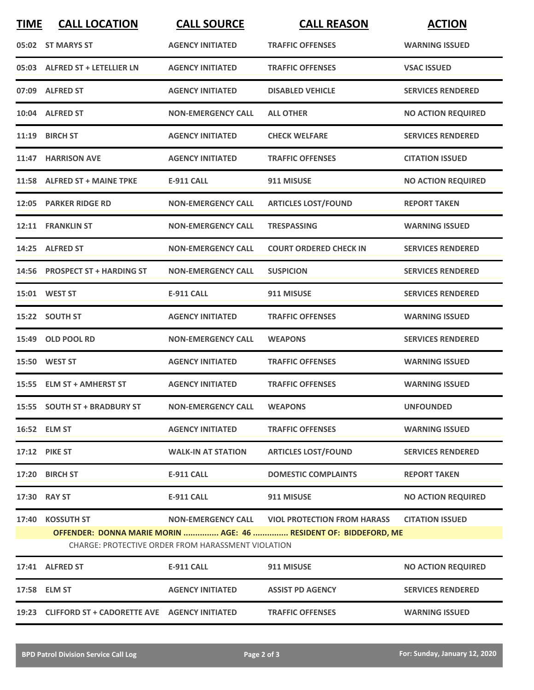| <b>TIME</b> | <b>CALL LOCATION</b>                                                                                                   | <b>CALL SOURCE</b>        | <b>CALL REASON</b>                             | <b>ACTION</b>             |  |
|-------------|------------------------------------------------------------------------------------------------------------------------|---------------------------|------------------------------------------------|---------------------------|--|
|             | 05:02 ST MARYS ST                                                                                                      | <b>AGENCY INITIATED</b>   | <b>TRAFFIC OFFENSES</b>                        | <b>WARNING ISSUED</b>     |  |
|             | 05:03 ALFRED ST + LETELLIER LN                                                                                         | <b>AGENCY INITIATED</b>   | <b>TRAFFIC OFFENSES</b>                        | <b>VSAC ISSUED</b>        |  |
|             | 07:09 ALFRED ST                                                                                                        | <b>AGENCY INITIATED</b>   | <b>DISABLED VEHICLE</b>                        | <b>SERVICES RENDERED</b>  |  |
|             | 10:04 ALFRED ST                                                                                                        | <b>NON-EMERGENCY CALL</b> | <b>ALL OTHER</b>                               | <b>NO ACTION REQUIRED</b> |  |
|             | 11:19 BIRCH ST                                                                                                         | <b>AGENCY INITIATED</b>   | <b>CHECK WELFARE</b>                           | <b>SERVICES RENDERED</b>  |  |
|             | 11:47 HARRISON AVE                                                                                                     | <b>AGENCY INITIATED</b>   | <b>TRAFFIC OFFENSES</b>                        | <b>CITATION ISSUED</b>    |  |
|             | 11:58 ALFRED ST + MAINE TPKE                                                                                           | <b>E-911 CALL</b>         | 911 MISUSE                                     | <b>NO ACTION REQUIRED</b> |  |
|             | 12:05 PARKER RIDGE RD                                                                                                  | <b>NON-EMERGENCY CALL</b> | <b>ARTICLES LOST/FOUND</b>                     | <b>REPORT TAKEN</b>       |  |
|             | 12:11 FRANKLIN ST                                                                                                      | <b>NON-EMERGENCY CALL</b> | <b>TRESPASSING</b>                             | <b>WARNING ISSUED</b>     |  |
|             | 14:25 ALFRED ST                                                                                                        | <b>NON-EMERGENCY CALL</b> | <b>COURT ORDERED CHECK IN</b>                  | <b>SERVICES RENDERED</b>  |  |
|             | 14:56 PROSPECT ST + HARDING ST                                                                                         | <b>NON-EMERGENCY CALL</b> | <b>SUSPICION</b>                               | <b>SERVICES RENDERED</b>  |  |
|             | 15:01 WEST ST                                                                                                          | <b>E-911 CALL</b>         | 911 MISUSE                                     | <b>SERVICES RENDERED</b>  |  |
|             | 15:22 SOUTH ST                                                                                                         | <b>AGENCY INITIATED</b>   | <b>TRAFFIC OFFENSES</b>                        | <b>WARNING ISSUED</b>     |  |
|             | 15:49 OLD POOL RD                                                                                                      | <b>NON-EMERGENCY CALL</b> | <b>WEAPONS</b>                                 | <b>SERVICES RENDERED</b>  |  |
|             | <b>15:50 WEST ST</b>                                                                                                   | <b>AGENCY INITIATED</b>   | <b>TRAFFIC OFFENSES</b>                        | <b>WARNING ISSUED</b>     |  |
|             | 15:55 ELM ST + AMHERST ST                                                                                              | <b>AGENCY INITIATED</b>   | <b>TRAFFIC OFFENSES</b>                        | <b>WARNING ISSUED</b>     |  |
|             | 15:55 SOUTH ST + BRADBURY ST                                                                                           | <b>NON-EMERGENCY CALL</b> | <b>WEAPONS</b>                                 | <b>UNFOUNDED</b>          |  |
|             | 16:52 ELM ST                                                                                                           | <b>AGENCY INITIATED</b>   | <b>TRAFFIC OFFENSES</b>                        | <b>WARNING ISSUED</b>     |  |
|             | 17:12 PIKE ST                                                                                                          | <b>WALK-IN AT STATION</b> | <b>ARTICLES LOST/FOUND</b>                     | <b>SERVICES RENDERED</b>  |  |
|             | 17:20 BIRCH ST                                                                                                         | <b>E-911 CALL</b>         | <b>DOMESTIC COMPLAINTS</b>                     | <b>REPORT TAKEN</b>       |  |
|             | 17:30 RAY ST                                                                                                           | <b>E-911 CALL</b>         | 911 MISUSE                                     | <b>NO ACTION REQUIRED</b> |  |
|             | 17:40 KOSSUTH ST                                                                                                       |                           | NON-EMERGENCY CALL VIOL PROTECTION FROM HARASS | <b>CITATION ISSUED</b>    |  |
|             | OFFENDER: DONNA MARIE MORIN  AGE: 46  RESIDENT OF: BIDDEFORD, ME<br>CHARGE: PROTECTIVE ORDER FROM HARASSMENT VIOLATION |                           |                                                |                           |  |
|             | 17:41 ALFRED ST                                                                                                        | <b>E-911 CALL</b>         | 911 MISUSE                                     | <b>NO ACTION REQUIRED</b> |  |
|             | 17:58 ELM ST                                                                                                           | <b>AGENCY INITIATED</b>   | <b>ASSIST PD AGENCY</b>                        | <b>SERVICES RENDERED</b>  |  |
|             | 19:23 CLIFFORD ST + CADORETTE AVE AGENCY INITIATED                                                                     |                           | <b>TRAFFIC OFFENSES</b>                        | <b>WARNING ISSUED</b>     |  |